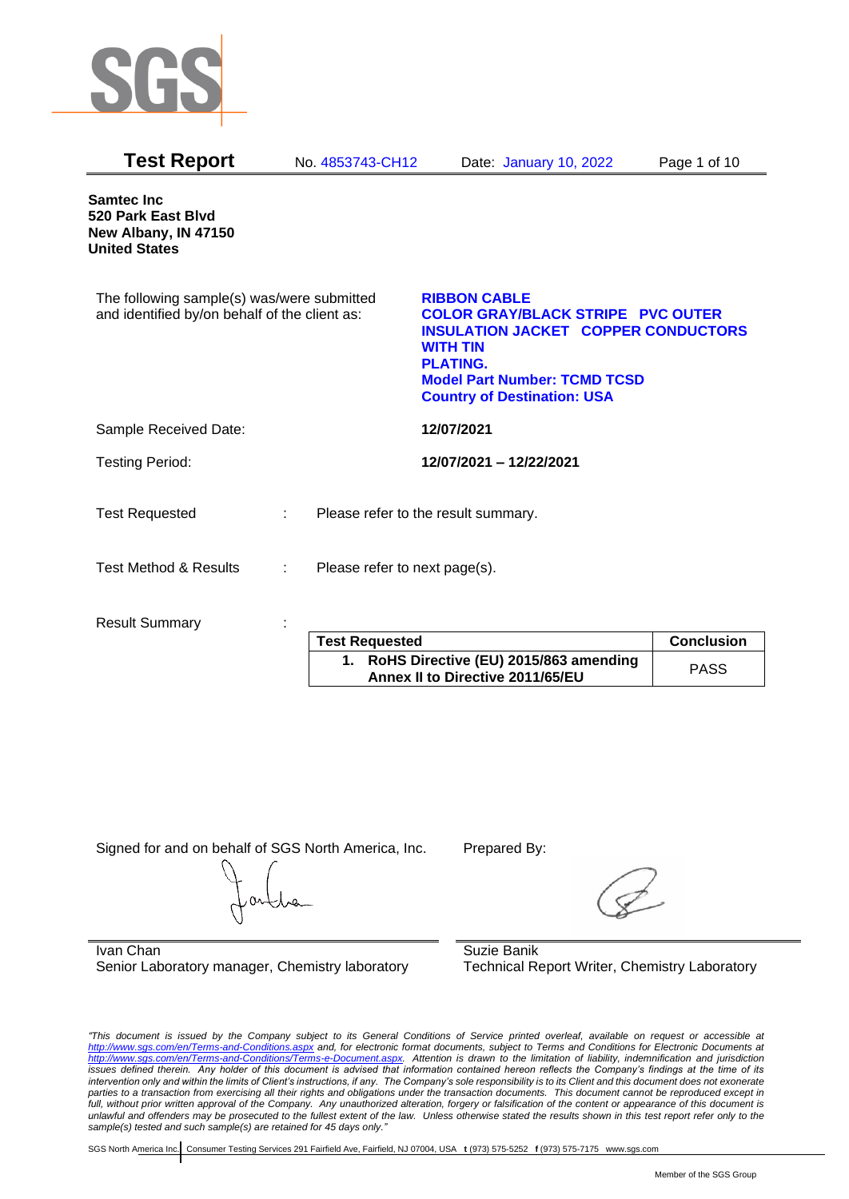

| <b>Test Report</b>                                                                          |                | No. 4853743-CH12              | Date: January 10, 2022                                                                                                                                                                                                           | Page 1 of 10      |
|---------------------------------------------------------------------------------------------|----------------|-------------------------------|----------------------------------------------------------------------------------------------------------------------------------------------------------------------------------------------------------------------------------|-------------------|
| <b>Samtec Inc</b><br>520 Park East Blvd<br>New Albany, IN 47150<br><b>United States</b>     |                |                               |                                                                                                                                                                                                                                  |                   |
| The following sample(s) was/were submitted<br>and identified by/on behalf of the client as: |                |                               | <b>RIBBON CABLE</b><br><b>COLOR GRAY/BLACK STRIPE PVC OUTER</b><br><b>INSULATION JACKET COPPER CONDUCTORS</b><br><b>WITH TIN</b><br><b>PLATING.</b><br><b>Model Part Number: TCMD TCSD</b><br><b>Country of Destination: USA</b> |                   |
| Sample Received Date:                                                                       |                |                               | 12/07/2021                                                                                                                                                                                                                       |                   |
| <b>Testing Period:</b>                                                                      |                |                               | 12/07/2021 - 12/22/2021                                                                                                                                                                                                          |                   |
| <b>Test Requested</b>                                                                       | $\mathbb{R}^n$ |                               | Please refer to the result summary.                                                                                                                                                                                              |                   |
| <b>Test Method &amp; Results</b>                                                            | ÷              | Please refer to next page(s). |                                                                                                                                                                                                                                  |                   |
| <b>Result Summary</b>                                                                       |                | <b>Test Requested</b>         |                                                                                                                                                                                                                                  | <b>Conclusion</b> |
|                                                                                             |                |                               |                                                                                                                                                                                                                                  |                   |

| <b>Test Requested</b>                                                        | <b>Conclusion</b> |
|------------------------------------------------------------------------------|-------------------|
| 1. RoHS Directive (EU) 2015/863 amending<br>Annex II to Directive 2011/65/EU | <b>PASS</b>       |

Signed for and on behalf of SGS North America, Inc. Prepared By:

Ivan Chan Senior Laboratory manager, Chemistry laboratory

Suzie Banik Technical Report Writer, Chemistry Laboratory

*"This document is issued by the Company subject to its General Conditions of Service printed overleaf, available on request or accessible at <http://www.sgs.com/en/Terms-and-Conditions.aspx> and, for electronic format documents, subject to Terms and Conditions for Electronic Documents at [http://www.sgs.com/en/Terms-and-Conditions/Terms-e-Document.aspx.](http://www.sgs.com/en/Terms-and-Conditions/Terms-e-Document.aspx) Attention is drawn to the limitation of liability, indemnification and jurisdiction issues defined therein. Any holder of this document is advised that information contained hereon reflects the Company's findings at the time of its intervention only and within the limits of Client's instructions, if any. The Company's sole responsibility is to its Client and this document does not exonerate parties to a transaction from exercising all their rights and obligations under the transaction documents. This document cannot be reproduced except in full, without prior written approval of the Company. Any unauthorized alteration, forgery or falsification of the content or appearance of this document is unlawful and offenders may be prosecuted to the fullest extent of the law. Unless otherwise stated the results shown in this test report refer only to the sample(s) tested and such sample(s) are retained for 45 days only."*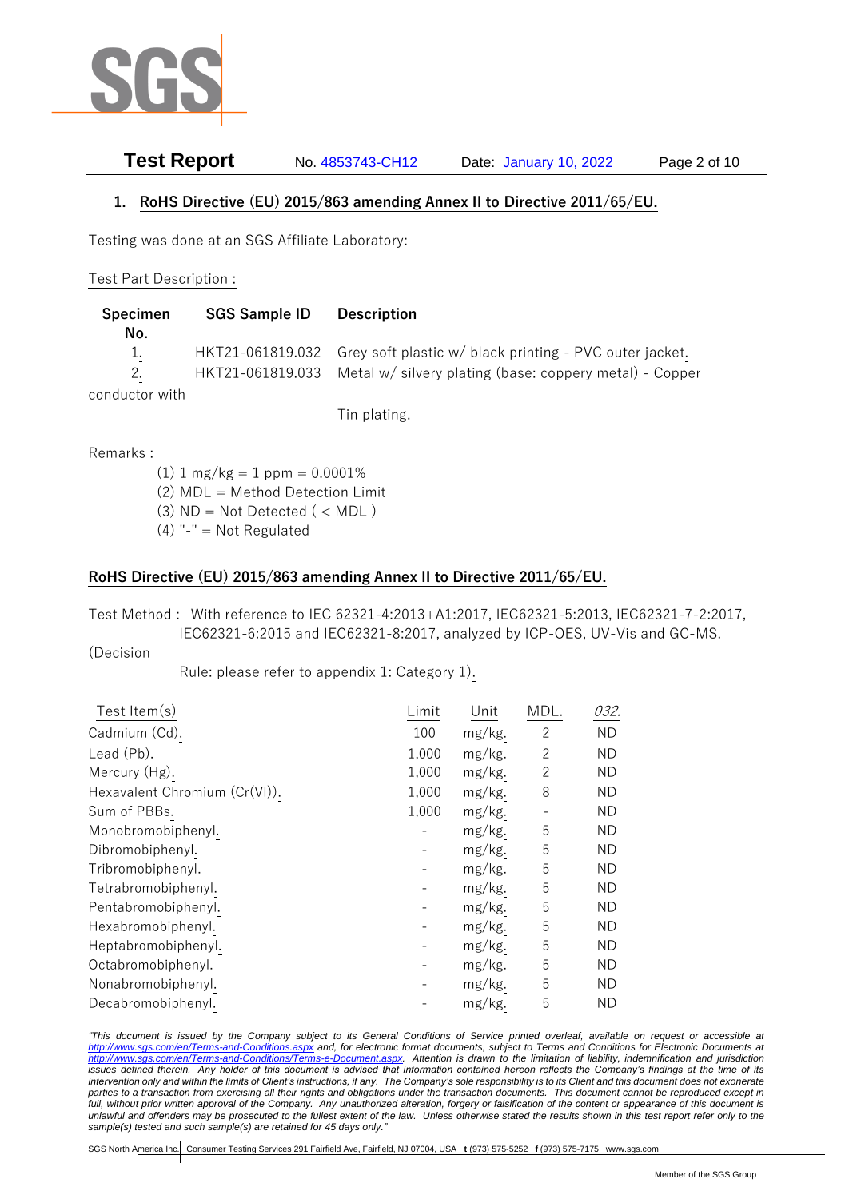

**Test Report** No. 4853743-CH12 Date: January 10, 2022 Page 2 of 10

## **1. RoHS Directive (EU) 2015/863 amending Annex II to Directive 2011/65/EU.**

Testing was done at an SGS Affiliate Laboratory:

#### Test Part Description :

| Specimen<br>No. | <b>SGS Sample ID</b> | <b>Description</b>                                                       |
|-----------------|----------------------|--------------------------------------------------------------------------|
|                 |                      |                                                                          |
| 1.              |                      | HKT21-061819.032 Grey soft plastic w/ black printing - PVC outer jacket. |
| 2.              |                      | HKT21-061819.033 Metal w/ silvery plating (base: coppery metal) - Copper |
| conductor with  |                      |                                                                          |

Tin plating.

Remarks :

 $(1)$  1 mg/kg = 1 ppm = 0.0001% (2) MDL = Method Detection Limit  $(3)$  ND = Not Detected  $($  < MDL)  $(4)$  "-" = Not Regulated

### **RoHS Directive (EU) 2015/863 amending Annex II to Directive 2011/65/EU.**

Test Method : With reference to IEC 62321-4:2013+A1:2017, IEC62321-5:2013, IEC62321-7-2:2017, IEC62321-6:2015 and IEC62321-8:2017, analyzed by ICP-OES, UV-Vis and GC-MS.

(Decision

Rule: please refer to appendix 1: Category 1).

| Test Item(s)                  | Limit | Unit   | MDL.           | 032.      |
|-------------------------------|-------|--------|----------------|-----------|
| Cadmium (Cd).                 | 100   | mg/kg. | $\overline{c}$ | <b>ND</b> |
| Lead (Pb).                    | 1,000 | mg/kg. | $\overline{2}$ | <b>ND</b> |
| Mercury (Hg).                 | 1,000 | mg/kg. | $\overline{c}$ | <b>ND</b> |
| Hexavalent Chromium (Cr(VI)). | 1,000 | mg/kg. | 8              | <b>ND</b> |
| Sum of PBBs.                  | 1,000 | mg/kg. |                | <b>ND</b> |
| Monobromobiphenyl.            |       | mg/kg. | 5              | <b>ND</b> |
| Dibromobiphenyl.              |       | mg/kg. | 5              | <b>ND</b> |
| Tribromobiphenyl.             |       | mg/kg. | 5              | <b>ND</b> |
| Tetrabromobiphenyl.           |       | mg/kg. | 5              | <b>ND</b> |
| Pentabromobiphenyl.           |       | mg/kg. | 5              | <b>ND</b> |
| Hexabromobiphenyl.            |       | mg/kg. | 5              | <b>ND</b> |
| Heptabromobiphenyl.           |       | mg/kg. | 5              | <b>ND</b> |
| Octabromobiphenyl.            |       | mg/kg. | 5              | <b>ND</b> |
| Nonabromobiphenyl.            |       | mg/kg. | 5              | <b>ND</b> |
| Decabromobiphenyl.            |       | mg/kg. | 5              | <b>ND</b> |

*"This document is issued by the Company subject to its General Conditions of Service printed overleaf, available on request or accessible at <http://www.sgs.com/en/Terms-and-Conditions.aspx> and, for electronic format documents, subject to Terms and Conditions for Electronic Documents at [http://www.sgs.com/en/Terms-and-Conditions/Terms-e-Document.aspx.](http://www.sgs.com/en/Terms-and-Conditions/Terms-e-Document.aspx) Attention is drawn to the limitation of liability, indemnification and jurisdiction issues defined therein. Any holder of this document is advised that information contained hereon reflects the Company's findings at the time of its intervention only and within the limits of Client's instructions, if any. The Company's sole responsibility is to its Client and this document does not exonerate parties to a transaction from exercising all their rights and obligations under the transaction documents. This document cannot be reproduced except in full, without prior written approval of the Company. Any unauthorized alteration, forgery or falsification of the content or appearance of this document is unlawful and offenders may be prosecuted to the fullest extent of the law. Unless otherwise stated the results shown in this test report refer only to the sample(s) tested and such sample(s) are retained for 45 days only."*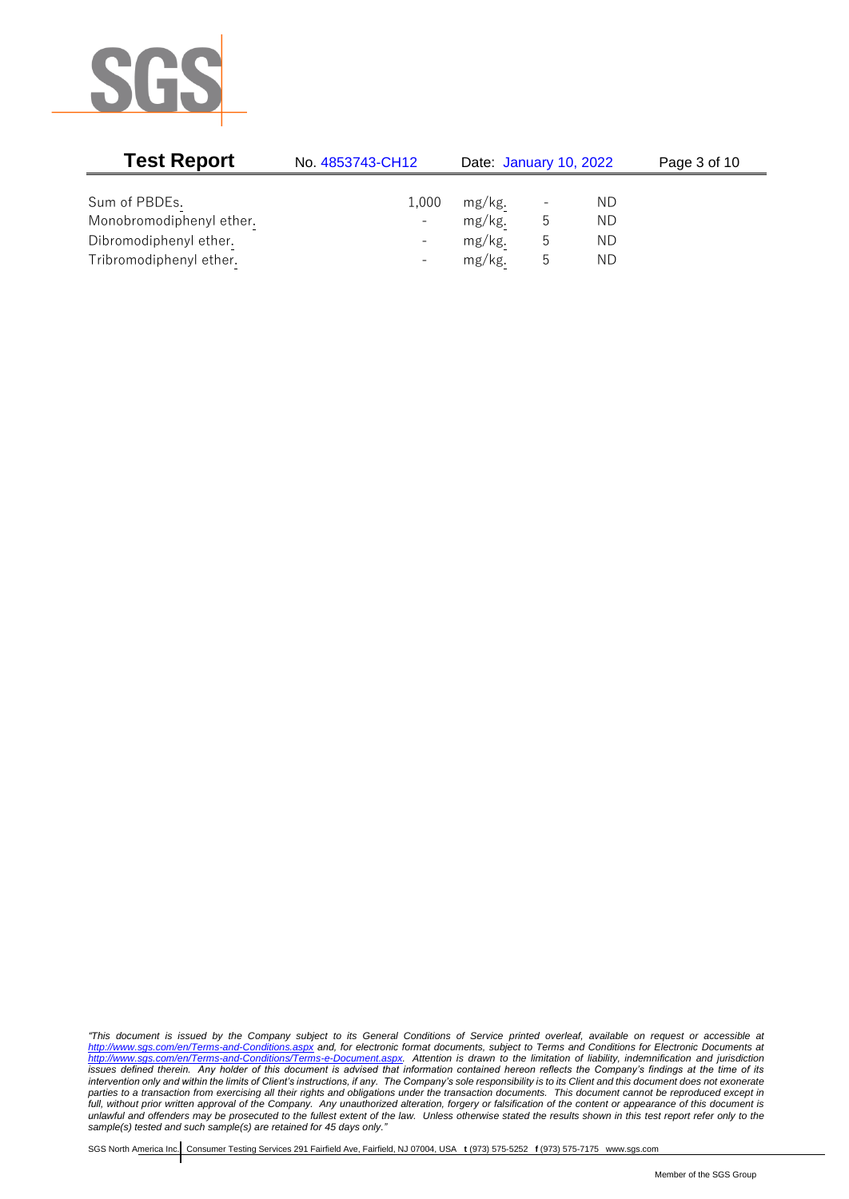

| <b>Test Report</b>       | No. 4853743-CH12         | Date: January 10, 2022 |   |     | Page 3 of 10 |
|--------------------------|--------------------------|------------------------|---|-----|--------------|
|                          |                          |                        |   |     |              |
| Sum of PBDEs.            | 1,000                    | mg/kg.                 |   | ND. |              |
| Monobromodiphenyl ether. | $\overline{\phantom{0}}$ | mg/kg.                 | b | ND. |              |
| Dibromodiphenyl ether.   | $\overline{\phantom{0}}$ | mg/kg.                 | ს | ND  |              |
| Tribromodiphenyl ether.  | $\overline{\phantom{0}}$ | mg/kg.                 |   | ND  |              |

*"This document is issued by the Company subject to its General Conditions of Service printed overleaf, available on request or accessible at <http://www.sgs.com/en/Terms-and-Conditions.aspx> and, for electronic format documents, subject to Terms and Conditions for Electronic Documents at [http://www.sgs.com/en/Terms-and-Conditions/Terms-e-Document.aspx.](http://www.sgs.com/en/Terms-and-Conditions/Terms-e-Document.aspx) Attention is drawn to the limitation of liability, indemnification and jurisdiction issues defined therein. Any holder of this document is advised that information contained hereon reflects the Company's findings at the time of its intervention only and within the limits of Client's instructions, if any. The Company's sole responsibility is to its Client and this document does not exonerate parties to a transaction from exercising all their rights and obligations under the transaction documents. This document cannot be reproduced except in full, without prior written approval of the Company. Any unauthorized alteration, forgery or falsification of the content or appearance of this document is unlawful and offenders may be prosecuted to the fullest extent of the law. Unless otherwise stated the results shown in this test report refer only to the sample(s) tested and such sample(s) are retained for 45 days only."*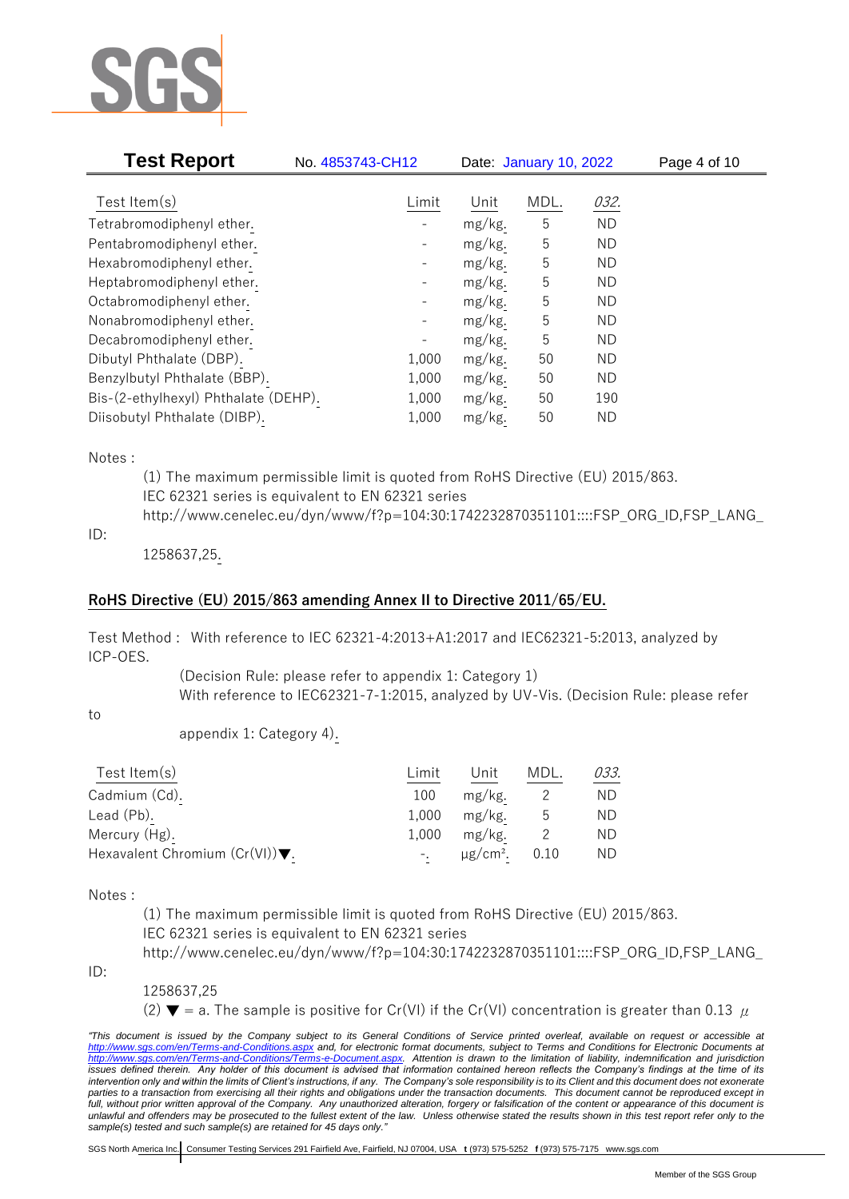

| <b>Test Report</b>                   | No. 4853743-CH12         |        | Date: January 10, 2022 |           | Page 4 of 10 |
|--------------------------------------|--------------------------|--------|------------------------|-----------|--------------|
|                                      |                          |        |                        |           |              |
| Test Item $(s)$                      | Limit                    | Unit   | MDL.                   | 032.      |              |
| Tetrabromodiphenyl ether.            |                          | mg/kg. | 5                      | <b>ND</b> |              |
| Pentabromodiphenyl ether.            |                          | mg/kg. | 5                      | ΝD        |              |
| Hexabromodiphenyl ether.             | $\overline{\phantom{a}}$ | mg/kg. | 5                      | ND        |              |
| Heptabromodiphenyl ether.            |                          | mg/kg. | 5                      | ND        |              |
| Octabromodiphenyl ether.             | -                        | mg/kg. | 5                      | ND        |              |
| Nonabromodiphenyl ether.             | $\overline{\phantom{a}}$ | mg/kg. | 5                      | ΝD        |              |
| Decabromodiphenyl ether.             |                          | mg/kg. | 5                      | <b>ND</b> |              |
| Dibutyl Phthalate (DBP).             | 1,000                    | mg/kg. | 50                     | <b>ND</b> |              |
| Benzylbutyl Phthalate (BBP).         | 1,000                    | mg/kg. | 50                     | ND        |              |
| Bis-(2-ethylhexyl) Phthalate (DEHP). | 1,000                    | mg/kg. | 50                     | 190       |              |
| Diisobutyl Phthalate (DIBP).         | 1,000                    | mg/kg. | 50                     | ΝD        |              |

Notes :

(1) The maximum permissible limit is quoted from RoHS Directive (EU) 2015/863. IEC 62321 series is equivalent to EN 62321 series http://www.cenelec.eu/dyn/www/f?p=104:30:1742232870351101::::FSP\_ORG\_ID,FSP\_LANG\_

ID:

1258637,25.

## **RoHS Directive (EU) 2015/863 amending Annex II to Directive 2011/65/EU.**

Test Method : With reference to IEC 62321-4:2013+A1:2017 and IEC62321-5:2013, analyzed by ICP-OES.

> (Decision Rule: please refer to appendix 1: Category 1) With reference to IEC62321-7-1:2015, analyzed by UV-Vis. (Decision Rule: please refer

to

appendix 1: Category 4).

| Test Item $(s)$                                    | Limit | Unit                      | MDL. | 033. |
|----------------------------------------------------|-------|---------------------------|------|------|
| Cadmium (Cd).                                      | 100   | mg/kg.                    |      | ND.  |
| Lead (Pb).                                         | 1.000 | mg/kg.                    |      | ND.  |
| Mercury (Hg).                                      | 1.000 | mg/kg.                    |      | ND.  |
| Hexavalent Chromium $(Cr(VI))\blacktriangledown$ . |       | $\mu$ g/cm <sup>2</sup> . | 0.10 | ND.  |

Notes :

(1) The maximum permissible limit is quoted from RoHS Directive (EU) 2015/863. IEC 62321 series is equivalent to EN 62321 series

http://www.cenelec.eu/dyn/www/f?p=104:30:1742232870351101::::FSP\_ORG\_ID,FSP\_LANG\_

ID:

1258637,25

(2)  $\blacktriangledown$  = a. The sample is positive for Cr(VI) if the Cr(VI) concentration is greater than 0.13  $\mu$ 

*"This document is issued by the Company subject to its General Conditions of Service printed overleaf, available on request or accessible at <http://www.sgs.com/en/Terms-and-Conditions.aspx> and, for electronic format documents, subject to Terms and Conditions for Electronic Documents at [http://www.sgs.com/en/Terms-and-Conditions/Terms-e-Document.aspx.](http://www.sgs.com/en/Terms-and-Conditions/Terms-e-Document.aspx) Attention is drawn to the limitation of liability, indemnification and jurisdiction issues defined therein. Any holder of this document is advised that information contained hereon reflects the Company's findings at the time of its intervention only and within the limits of Client's instructions, if any. The Company's sole responsibility is to its Client and this document does not exonerate*  parties to a transaction from exercising all their rights and obligations under the transaction documents. This document cannot be reproduced except in *full, without prior written approval of the Company. Any unauthorized alteration, forgery or falsification of the content or appearance of this document is unlawful and offenders may be prosecuted to the fullest extent of the law. Unless otherwise stated the results shown in this test report refer only to the sample(s) tested and such sample(s) are retained for 45 days only."*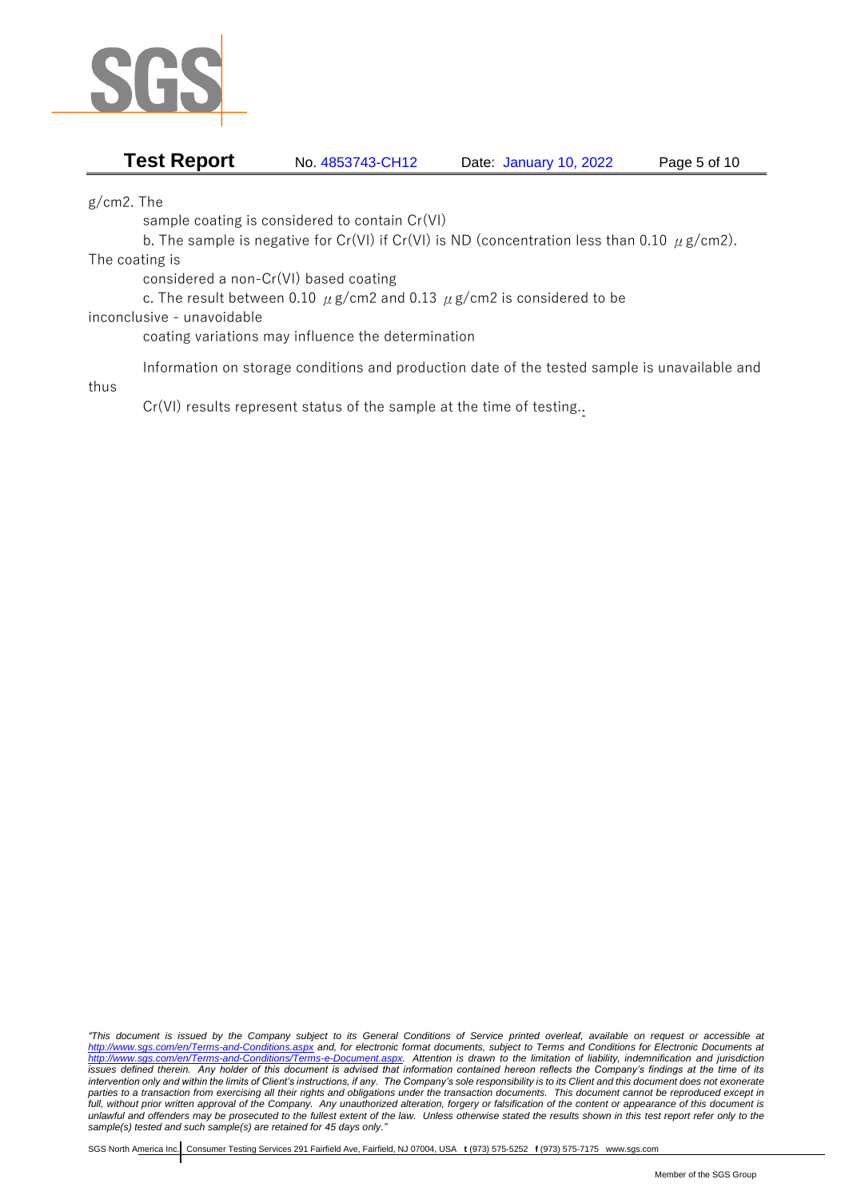

# **Test Report** No. 4853743-CH12 Date: January 10, 2022 Page 5 of 10

g/cm2. The

sample coating is considered to contain Cr(VI)

b. The sample is negative for Cr(VI) if Cr(VI) is ND (concentration less than 0.10  $\mu$  g/cm2).

The coating is

considered a non-Cr(VI) based coating

c. The result between 0.10  $\mu$  g/cm2 and 0.13  $\mu$  g/cm2 is considered to be

### inconclusive - unavoidable

coating variations may influence the determination

Information on storage conditions and production date of the tested sample is unavailable and

thus

Cr(VI) results represent status of the sample at the time of testing..

*<sup>&</sup>quot;This document is issued by the Company subject to its General Conditions of Service printed overleaf, available on request or accessible at <http://www.sgs.com/en/Terms-and-Conditions.aspx> and, for electronic format documents, subject to Terms and Conditions for Electronic Documents at [http://www.sgs.com/en/Terms-and-Conditions/Terms-e-Document.aspx.](http://www.sgs.com/en/Terms-and-Conditions/Terms-e-Document.aspx) Attention is drawn to the limitation of liability, indemnification and jurisdiction issues defined therein. Any holder of this document is advised that information contained hereon reflects the Company's findings at the time of its intervention only and within the limits of Client's instructions, if any. The Company's sole responsibility is to its Client and this document does not exonerate parties to a transaction from exercising all their rights and obligations under the transaction documents. This document cannot be reproduced except in full, without prior written approval of the Company. Any unauthorized alteration, forgery or falsification of the content or appearance of this document is unlawful and offenders may be prosecuted to the fullest extent of the law. Unless otherwise stated the results shown in this test report refer only to the sample(s) tested and such sample(s) are retained for 45 days only."*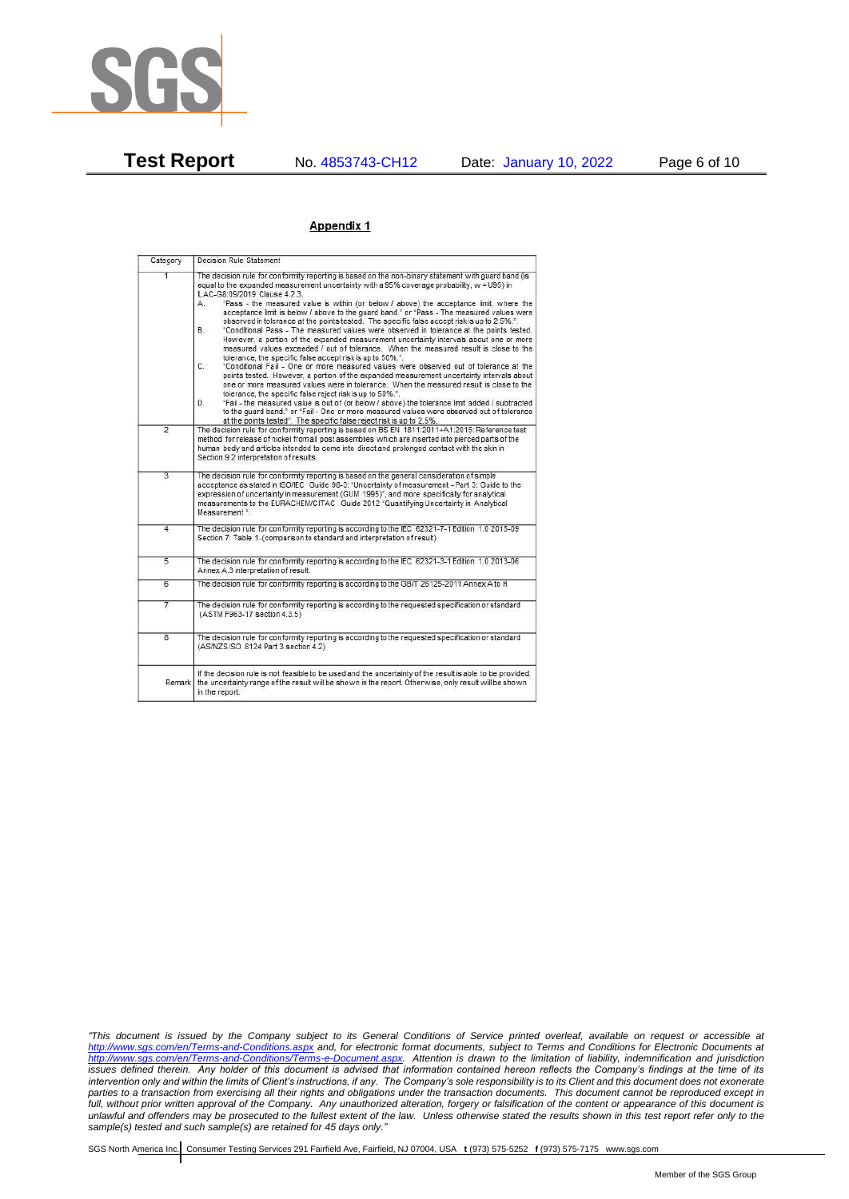

**Test Report** No. 4853743-CH12 Date: January 10, 2022 Page 6 of 10

#### Appendix 1

| Category       | Decision Rule Statement                                                                                                                                                                                                                                                                                                                                                                                                                                                                                                                                                                                                                                                                                                                                                                                                                                                                                                                                                                                                                                                                                                                                                                                                                                                                                                                                                                                                                                                                                           |
|----------------|-------------------------------------------------------------------------------------------------------------------------------------------------------------------------------------------------------------------------------------------------------------------------------------------------------------------------------------------------------------------------------------------------------------------------------------------------------------------------------------------------------------------------------------------------------------------------------------------------------------------------------------------------------------------------------------------------------------------------------------------------------------------------------------------------------------------------------------------------------------------------------------------------------------------------------------------------------------------------------------------------------------------------------------------------------------------------------------------------------------------------------------------------------------------------------------------------------------------------------------------------------------------------------------------------------------------------------------------------------------------------------------------------------------------------------------------------------------------------------------------------------------------|
| $\overline{1}$ | The decision rule for conformity reporting is based on the non-binary statement with quard band (is<br>equal to the expanded measurement uncertainty with a 95% coverage probability, w = U95) in<br>ILAC-G8:09/2019 Clause 4.2.3.<br>"Pass - the measured value is within (or below / above) the acceptance limit, where the<br>А.<br>acceptance limit is below / above to the quard band." or "Pass - The measured values were<br>observed in tolerance at the points tested. The specific false accept risk is up to 2.5%.".<br>B.<br>"Conditional Pass - The measured values were observed in tolerance at the points tested.<br>However, a portion of the expanded measurement uncertainty intervals about one or more<br>measured values exceeded / out of tolerance. When the measured result is close to the<br>tolerance, the specific false accept risk is up to 50%."<br>C.<br>"Conditional Fail - One or more measured values were observed out of tolerance at the<br>points tested. However, a portion of the expanded measurement uncertainty intervals about<br>one or more measured values were in tolerance. When the measured result is close to the<br>tolerance, the specific false reject risk is up to 50%.".<br>"Fail - the measured value is out of (or below / above) the tolerance limit added / subtracted<br>D.<br>to the quard band." or "Fail - One or more measured values were observed out of tolerance<br>at the points tested". The specific false reject risk is up to 2.5%. |
| $\overline{2}$ | The decision rule for conformity reporting is based on BS EN 1811:2011+A1:2015: Reference test<br>method for release of nickel from all post assemblies which are inserted into pierced parts of the<br>human body and articles intended to come into direct and prolonged contact with the skin in<br>Section 9.2 interpretation of results.                                                                                                                                                                                                                                                                                                                                                                                                                                                                                                                                                                                                                                                                                                                                                                                                                                                                                                                                                                                                                                                                                                                                                                     |
| $\overline{3}$ | The decision rule for conformity reporting is based on the general consideration of simple<br>acceptance as stated in ISO/IEC Guide 98-3: "Uncertainty of measurement - Part 3: Guide to the<br>expression of uncertainty in measurement (GUM 1995)", and more specifically for analytical<br>measurements to the EURACHEM/CITAC Guide 2012 "Quantifying Uncertainty in Analytical<br>Measurement *                                                                                                                                                                                                                                                                                                                                                                                                                                                                                                                                                                                                                                                                                                                                                                                                                                                                                                                                                                                                                                                                                                               |
| 4              | The decision rule for conformity reporting is according to the IEC 62321-7-1 Edition 1.0 2015-09<br>Section 7: Table 1-(comparison to standard and interpretation of result)                                                                                                                                                                                                                                                                                                                                                                                                                                                                                                                                                                                                                                                                                                                                                                                                                                                                                                                                                                                                                                                                                                                                                                                                                                                                                                                                      |
| $\overline{5}$ | The decision rule for conformity reporting is according to the IEC 62321-3-1 Edition 1.0 2013-06<br>Annex A.3 interpretation of result.                                                                                                                                                                                                                                                                                                                                                                                                                                                                                                                                                                                                                                                                                                                                                                                                                                                                                                                                                                                                                                                                                                                                                                                                                                                                                                                                                                           |
| 6              | The decision rule for conformity reporting is according to the GB/T 26125-2011 Annex A to H                                                                                                                                                                                                                                                                                                                                                                                                                                                                                                                                                                                                                                                                                                                                                                                                                                                                                                                                                                                                                                                                                                                                                                                                                                                                                                                                                                                                                       |
| 7              | The decision rule for conformity reporting is according to the requested specification or standard<br>(ASTM F963-17 section 4.3.5)                                                                                                                                                                                                                                                                                                                                                                                                                                                                                                                                                                                                                                                                                                                                                                                                                                                                                                                                                                                                                                                                                                                                                                                                                                                                                                                                                                                |
| $\overline{8}$ | The decision rule for conformity reporting is according to the requested specification or standard<br>(AS/NZS ISO 8124 Part 3 section 4.2)                                                                                                                                                                                                                                                                                                                                                                                                                                                                                                                                                                                                                                                                                                                                                                                                                                                                                                                                                                                                                                                                                                                                                                                                                                                                                                                                                                        |
|                | If the decision rule is not feasible to be used and the uncertainty of the result is able to be provided,<br>Remark the uncertainty range of the result will be shown in the report. Otherwise, only result will be shown<br>in the report.                                                                                                                                                                                                                                                                                                                                                                                                                                                                                                                                                                                                                                                                                                                                                                                                                                                                                                                                                                                                                                                                                                                                                                                                                                                                       |

*"This document is issued by the Company subject to its General Conditions of Service printed overleaf, available on request or accessible at <http://www.sgs.com/en/Terms-and-Conditions.aspx> and, for electronic format documents, subject to Terms and Conditions for Electronic Documents at [http://www.sgs.com/en/Terms-and-Conditions/Terms-e-Document.aspx.](http://www.sgs.com/en/Terms-and-Conditions/Terms-e-Document.aspx) Attention is drawn to the limitation of liability, indemnification and jurisdiction issues defined therein. Any holder of this document is advised that information contained hereon reflects the Company's findings at the time of its intervention only and within the limits of Client's instructions, if any. The Company's sole responsibility is to its Client and this document does not exonerate parties to a transaction from exercising all their rights and obligations under the transaction documents. This document cannot be reproduced except in full, without prior written approval of the Company. Any unauthorized alteration, forgery or falsification of the content or appearance of this document is unlawful and offenders may be prosecuted to the fullest extent of the law. Unless otherwise stated the results shown in this test report refer only to the sample(s) tested and such sample(s) are retained for 45 days only."*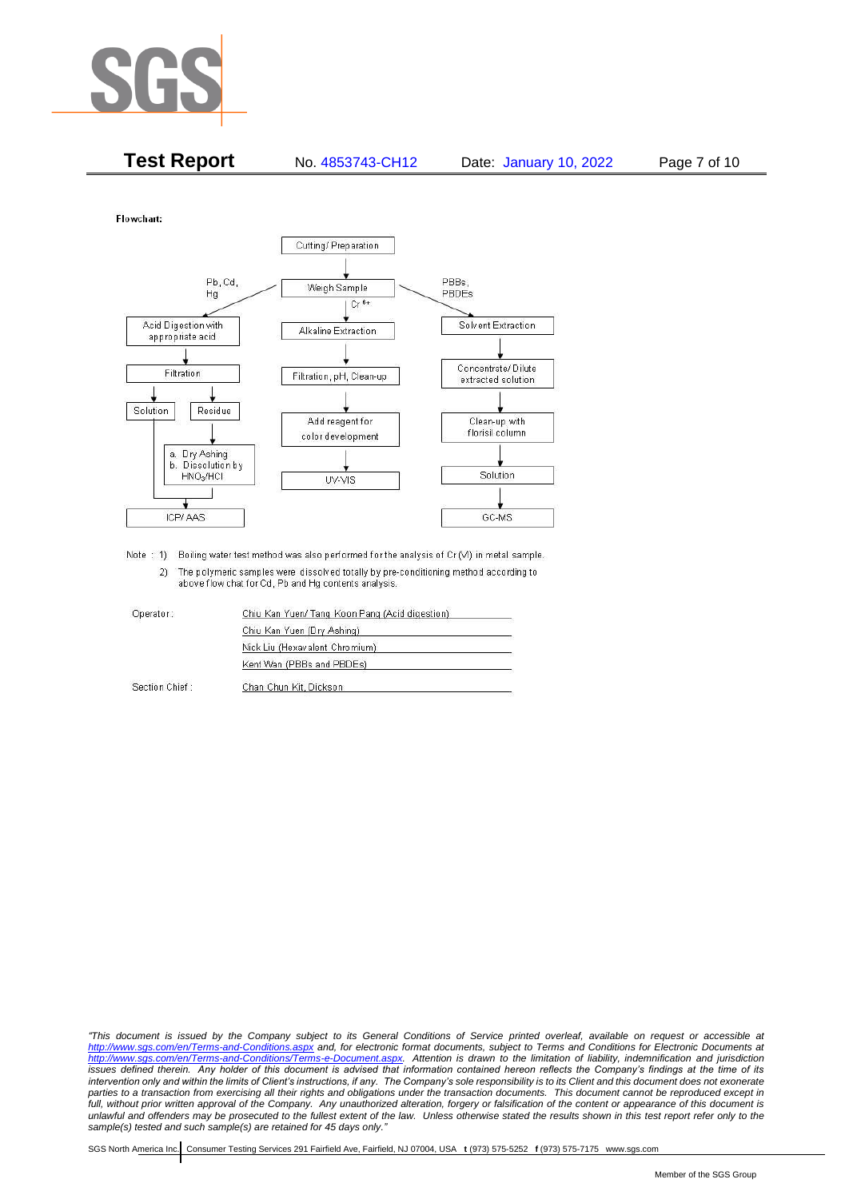

| <b>Test Report</b> | No. 4853743-CH12 | Date: January 10, 2022 | Page 7 of 10 |
|--------------------|------------------|------------------------|--------------|
|--------------------|------------------|------------------------|--------------|

Flowchart:



Note : 1) Boiling water test method was also performed for the analysis of Cr (VI) in metal sample. 2) The polymeric samples were dissolved totally by pre-conditioning method according to above flow chat for Cd, Pb and Hg contents analysis

| Operator:      | Chiu Kan Yuen/ Tang Koon Pang (Acid digestion) |
|----------------|------------------------------------------------|
|                | Chiu Kan Yuen (Dry Ashing)                     |
|                | Nick Liu (Hexavalent Chromium)                 |
|                | Kent Wan (PBBs and PBDEs)                      |
| Section Chief: | Chan Chun Kit, Dickson                         |

*"This document is issued by the Company subject to its General Conditions of Service printed overleaf, available on request or accessible at <http://www.sgs.com/en/Terms-and-Conditions.aspx> and, for electronic format documents, subject to Terms and Conditions for Electronic Documents at [http://www.sgs.com/en/Terms-and-Conditions/Terms-e-Document.aspx.](http://www.sgs.com/en/Terms-and-Conditions/Terms-e-Document.aspx) Attention is drawn to the limitation of liability, indemnification and jurisdiction issues defined therein. Any holder of this document is advised that information contained hereon reflects the Company's findings at the time of its intervention only and within the limits of Client's instructions, if any. The Company's sole responsibility is to its Client and this document does not exonerate*  parties to a transaction from exercising all their rights and obligations under the transaction documents. This document cannot be reproduced except in *full, without prior written approval of the Company. Any unauthorized alteration, forgery or falsification of the content or appearance of this document is unlawful and offenders may be prosecuted to the fullest extent of the law. Unless otherwise stated the results shown in this test report refer only to the sample(s) tested and such sample(s) are retained for 45 days only."*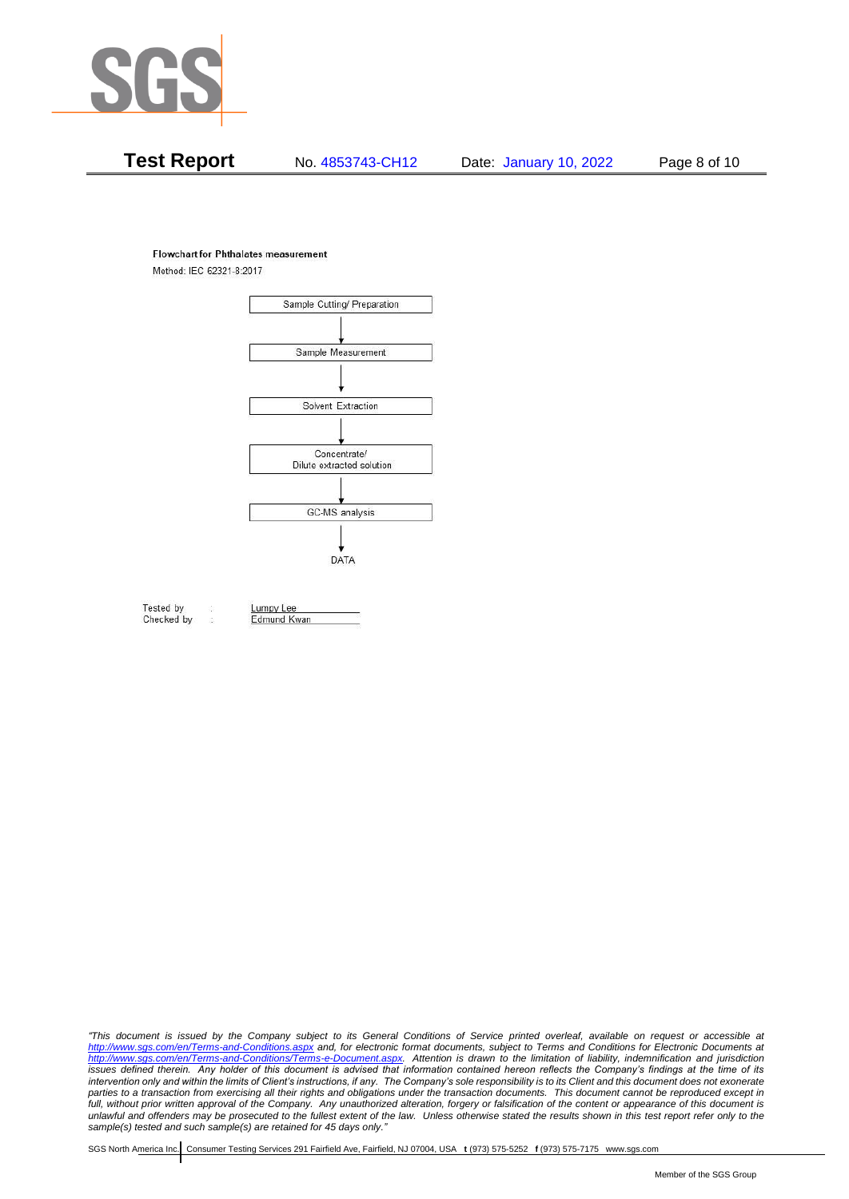

## **Test Report** No. 4853743-CH12 Date: January 10, 2022 Page 8 of 10

#### **Flowchart for Phthalates measurement**

Method: IEC 62321-8:2017



Tested by Checked by Lumpy Lee

Edmund Kwan

*"This document is issued by the Company subject to its General Conditions of Service printed overleaf, available on request or accessible at <http://www.sgs.com/en/Terms-and-Conditions.aspx> and, for electronic format documents, subject to Terms and Conditions for Electronic Documents at [http://www.sgs.com/en/Terms-and-Conditions/Terms-e-Document.aspx.](http://www.sgs.com/en/Terms-and-Conditions/Terms-e-Document.aspx) Attention is drawn to the limitation of liability, indemnification and jurisdiction issues defined therein. Any holder of this document is advised that information contained hereon reflects the Company's findings at the time of its intervention only and within the limits of Client's instructions, if any. The Company's sole responsibility is to its Client and this document does not exonerate*  parties to a transaction from exercising all their rights and obligations under the transaction documents. This document cannot be reproduced except in *full, without prior written approval of the Company. Any unauthorized alteration, forgery or falsification of the content or appearance of this document is unlawful and offenders may be prosecuted to the fullest extent of the law. Unless otherwise stated the results shown in this test report refer only to the sample(s) tested and such sample(s) are retained for 45 days only."*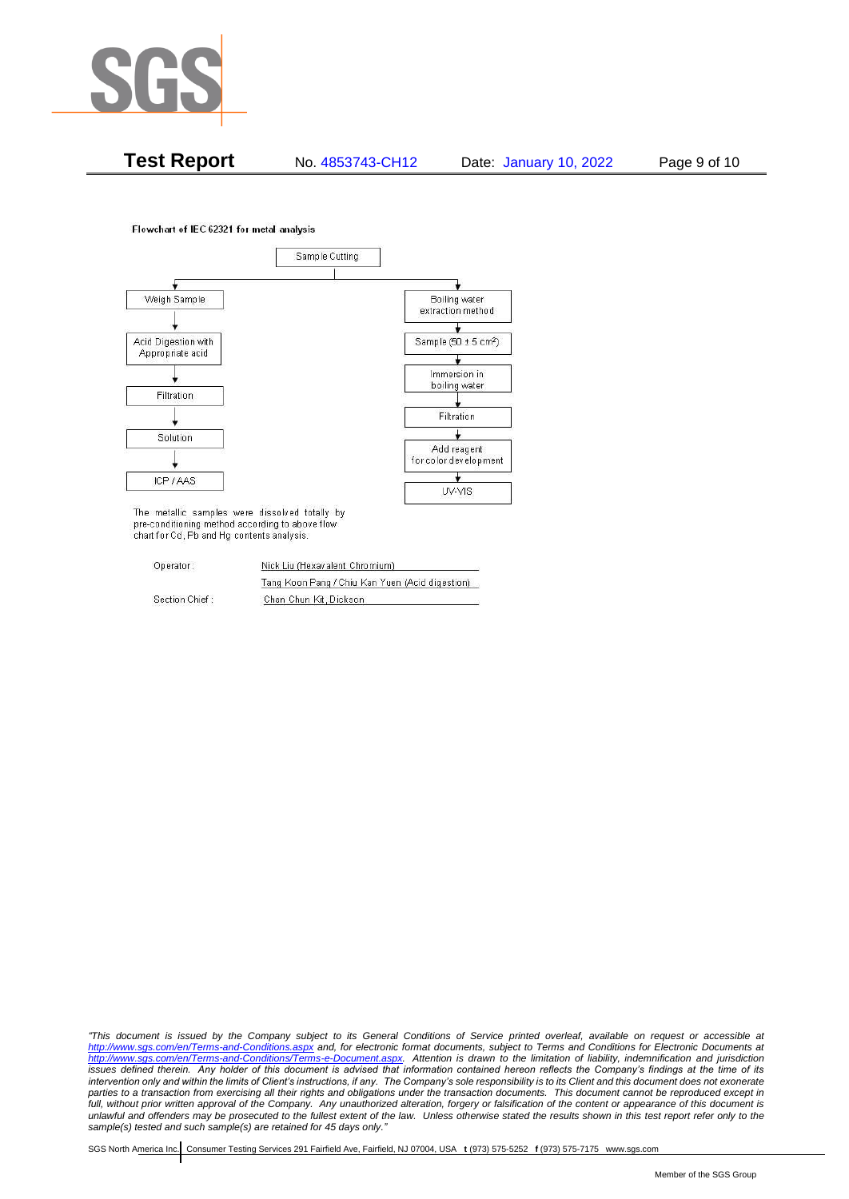

**Test Report** No. 4853743-CH12 Date: January 10, 2022 Page 9 of 10

Flowchart of IEC 62321 for metal analysis



The metallic samples were dissolved totally by pre-conditioning method according to above flow chart for Cd, Pb and Hg contents analysis.

| Operator:      | Nick Liu (Hexavalent Chromium)                  |  |  |
|----------------|-------------------------------------------------|--|--|
|                | Tang Koon Pang / Chiu Kan Yuen (Acid digestion) |  |  |
| Section Chief: | Chan Chun Kit, Dickson                          |  |  |

*"This document is issued by the Company subject to its General Conditions of Service printed overleaf, available on request or accessible at <http://www.sgs.com/en/Terms-and-Conditions.aspx> and, for electronic format documents, subject to Terms and Conditions for Electronic Documents at [http://www.sgs.com/en/Terms-and-Conditions/Terms-e-Document.aspx.](http://www.sgs.com/en/Terms-and-Conditions/Terms-e-Document.aspx) Attention is drawn to the limitation of liability, indemnification and jurisdiction issues defined therein. Any holder of this document is advised that information contained hereon reflects the Company's findings at the time of its intervention only and within the limits of Client's instructions, if any. The Company's sole responsibility is to its Client and this document does not exonerate parties to a transaction from exercising all their rights and obligations under the transaction documents. This document cannot be reproduced except in full, without prior written approval of the Company. Any unauthorized alteration, forgery or falsification of the content or appearance of this document is unlawful and offenders may be prosecuted to the fullest extent of the law. Unless otherwise stated the results shown in this test report refer only to the sample(s) tested and such sample(s) are retained for 45 days only."*